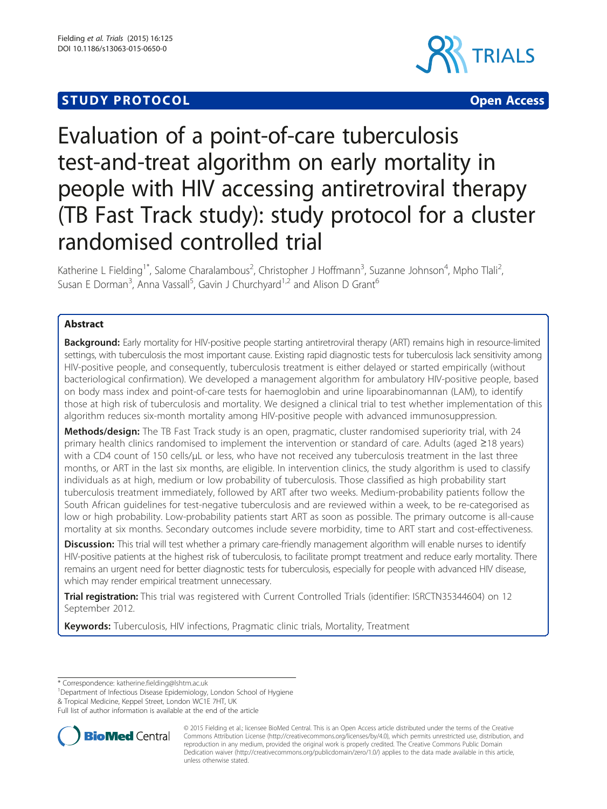# **STUDY PROTOCOL CONSUMING THE CONSUMING OPEN ACCESS**



# Evaluation of a point-of-care tuberculosis test-and-treat algorithm on early mortality in people with HIV accessing antiretroviral therapy (TB Fast Track study): study protocol for a cluster randomised controlled trial

Katherine L Fielding<sup>1\*</sup>, Salome Charalambous<sup>2</sup>, Christopher J Hoffmann<sup>3</sup>, Suzanne Johnson<sup>4</sup>, Mpho Tlali<sup>2</sup> , Susan E Dorman<sup>3</sup>, Anna Vassall<sup>5</sup>, Gavin J Churchyard<sup>1,2</sup> and Alison D Grant<sup>6</sup>

# Abstract

Background: Early mortality for HIV-positive people starting antiretroviral therapy (ART) remains high in resource-limited settings, with tuberculosis the most important cause. Existing rapid diagnostic tests for tuberculosis lack sensitivity among HIV-positive people, and consequently, tuberculosis treatment is either delayed or started empirically (without bacteriological confirmation). We developed a management algorithm for ambulatory HIV-positive people, based on body mass index and point-of-care tests for haemoglobin and urine lipoarabinomannan (LAM), to identify those at high risk of tuberculosis and mortality. We designed a clinical trial to test whether implementation of this algorithm reduces six-month mortality among HIV-positive people with advanced immunosuppression.

Methods/design: The TB Fast Track study is an open, pragmatic, cluster randomised superiority trial, with 24 primary health clinics randomised to implement the intervention or standard of care. Adults (aged ≥18 years) with a CD4 count of 150 cells/μL or less, who have not received any tuberculosis treatment in the last three months, or ART in the last six months, are eligible. In intervention clinics, the study algorithm is used to classify individuals as at high, medium or low probability of tuberculosis. Those classified as high probability start tuberculosis treatment immediately, followed by ART after two weeks. Medium-probability patients follow the South African guidelines for test-negative tuberculosis and are reviewed within a week, to be re-categorised as low or high probability. Low-probability patients start ART as soon as possible. The primary outcome is all-cause mortality at six months. Secondary outcomes include severe morbidity, time to ART start and cost-effectiveness.

Discussion: This trial will test whether a primary care-friendly management algorithm will enable nurses to identify HIV-positive patients at the highest risk of tuberculosis, to facilitate prompt treatment and reduce early mortality. There remains an urgent need for better diagnostic tests for tuberculosis, especially for people with advanced HIV disease, which may render empirical treatment unnecessary.

Trial registration: This trial was registered with Current Controlled Trials (identifier: [ISRCTN35344604](http://www.isrctn.com/ISRCTN35344604)) on 12 September 2012.

Keywords: Tuberculosis, HIV infections, Pragmatic clinic trials, Mortality, Treatment

\* Correspondence: [katherine.fielding@lshtm.ac.uk](mailto:katherine.fielding@lshtm.ac.uk) <sup>1</sup>

<sup>1</sup>Department of Infectious Disease Epidemiology, London School of Hygiene

& Tropical Medicine, Keppel Street, London WC1E 7HT, UK

Full list of author information is available at the end of the article



© 2015 Fielding et al.; licensee BioMed Central. This is an Open Access article distributed under the terms of the Creative Commons Attribution License [\(http://creativecommons.org/licenses/by/4.0\)](http://creativecommons.org/licenses/by/4.0), which permits unrestricted use, distribution, and reproduction in any medium, provided the original work is properly credited. The Creative Commons Public Domain Dedication waiver [\(http://creativecommons.org/publicdomain/zero/1.0/](http://creativecommons.org/publicdomain/zero/1.0/)) applies to the data made available in this article, unless otherwise stated.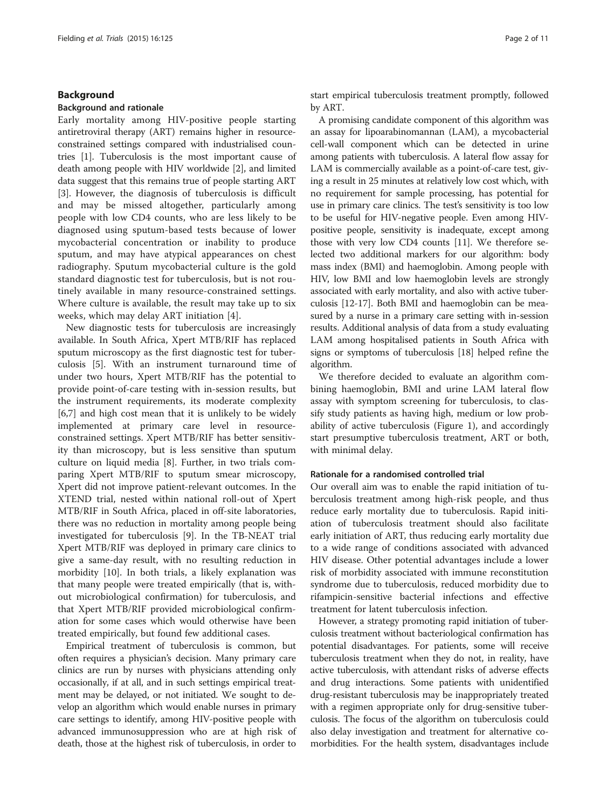# Background

# Background and rationale

Early mortality among HIV-positive people starting antiretroviral therapy (ART) remains higher in resourceconstrained settings compared with industrialised countries [\[1](#page-9-0)]. Tuberculosis is the most important cause of death among people with HIV worldwide [\[2](#page-10-0)], and limited data suggest that this remains true of people starting ART [[3\]](#page-10-0). However, the diagnosis of tuberculosis is difficult and may be missed altogether, particularly among people with low CD4 counts, who are less likely to be diagnosed using sputum-based tests because of lower mycobacterial concentration or inability to produce sputum, and may have atypical appearances on chest radiography. Sputum mycobacterial culture is the gold standard diagnostic test for tuberculosis, but is not routinely available in many resource-constrained settings. Where culture is available, the result may take up to six weeks, which may delay ART initiation [\[4](#page-10-0)].

New diagnostic tests for tuberculosis are increasingly available. In South Africa, Xpert MTB/RIF has replaced sputum microscopy as the first diagnostic test for tuberculosis [[5\]](#page-10-0). With an instrument turnaround time of under two hours, Xpert MTB/RIF has the potential to provide point-of-care testing with in-session results, but the instrument requirements, its moderate complexity [[6,7\]](#page-10-0) and high cost mean that it is unlikely to be widely implemented at primary care level in resourceconstrained settings. Xpert MTB/RIF has better sensitivity than microscopy, but is less sensitive than sputum culture on liquid media [[8](#page-10-0)]. Further, in two trials comparing Xpert MTB/RIF to sputum smear microscopy, Xpert did not improve patient-relevant outcomes. In the XTEND trial, nested within national roll-out of Xpert MTB/RIF in South Africa, placed in off-site laboratories, there was no reduction in mortality among people being investigated for tuberculosis [[9\]](#page-10-0). In the TB-NEAT trial Xpert MTB/RIF was deployed in primary care clinics to give a same-day result, with no resulting reduction in morbidity [\[10](#page-10-0)]. In both trials, a likely explanation was that many people were treated empirically (that is, without microbiological confirmation) for tuberculosis, and that Xpert MTB/RIF provided microbiological confirmation for some cases which would otherwise have been treated empirically, but found few additional cases.

Empirical treatment of tuberculosis is common, but often requires a physician's decision. Many primary care clinics are run by nurses with physicians attending only occasionally, if at all, and in such settings empirical treatment may be delayed, or not initiated. We sought to develop an algorithm which would enable nurses in primary care settings to identify, among HIV-positive people with advanced immunosuppression who are at high risk of death, those at the highest risk of tuberculosis, in order to start empirical tuberculosis treatment promptly, followed by ART.

A promising candidate component of this algorithm was an assay for lipoarabinomannan (LAM), a mycobacterial cell-wall component which can be detected in urine among patients with tuberculosis. A lateral flow assay for LAM is commercially available as a point-of-care test, giving a result in 25 minutes at relatively low cost which, with no requirement for sample processing, has potential for use in primary care clinics. The test's sensitivity is too low to be useful for HIV-negative people. Even among HIVpositive people, sensitivity is inadequate, except among those with very low CD4 counts [[11](#page-10-0)]. We therefore selected two additional markers for our algorithm: body mass index (BMI) and haemoglobin. Among people with HIV, low BMI and low haemoglobin levels are strongly associated with early mortality, and also with active tuberculosis [\[12-17\]](#page-10-0). Both BMI and haemoglobin can be measured by a nurse in a primary care setting with in-session results. Additional analysis of data from a study evaluating LAM among hospitalised patients in South Africa with signs or symptoms of tuberculosis [\[18\]](#page-10-0) helped refine the algorithm.

We therefore decided to evaluate an algorithm combining haemoglobin, BMI and urine LAM lateral flow assay with symptom screening for tuberculosis, to classify study patients as having high, medium or low probability of active tuberculosis (Figure [1\)](#page-2-0), and accordingly start presumptive tuberculosis treatment, ART or both, with minimal delay.

# Rationale for a randomised controlled trial

Our overall aim was to enable the rapid initiation of tuberculosis treatment among high-risk people, and thus reduce early mortality due to tuberculosis. Rapid initiation of tuberculosis treatment should also facilitate early initiation of ART, thus reducing early mortality due to a wide range of conditions associated with advanced HIV disease. Other potential advantages include a lower risk of morbidity associated with immune reconstitution syndrome due to tuberculosis, reduced morbidity due to rifampicin-sensitive bacterial infections and effective treatment for latent tuberculosis infection.

However, a strategy promoting rapid initiation of tuberculosis treatment without bacteriological confirmation has potential disadvantages. For patients, some will receive tuberculosis treatment when they do not, in reality, have active tuberculosis, with attendant risks of adverse effects and drug interactions. Some patients with unidentified drug-resistant tuberculosis may be inappropriately treated with a regimen appropriate only for drug-sensitive tuberculosis. The focus of the algorithm on tuberculosis could also delay investigation and treatment for alternative comorbidities. For the health system, disadvantages include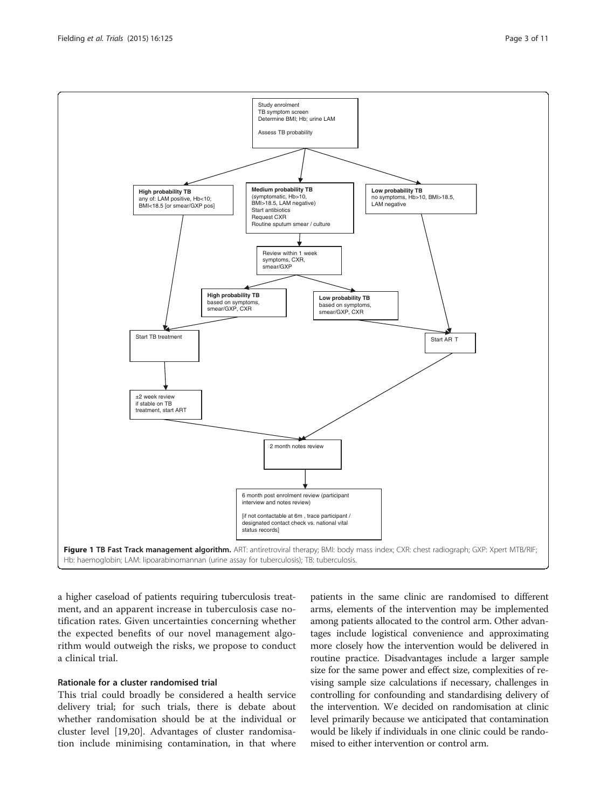<span id="page-2-0"></span>

a higher caseload of patients requiring tuberculosis treatment, and an apparent increase in tuberculosis case notification rates. Given uncertainties concerning whether the expected benefits of our novel management algorithm would outweigh the risks, we propose to conduct a clinical trial.

# Rationale for a cluster randomised trial

This trial could broadly be considered a health service delivery trial; for such trials, there is debate about whether randomisation should be at the individual or cluster level [\[19,20](#page-10-0)]. Advantages of cluster randomisation include minimising contamination, in that where

patients in the same clinic are randomised to different arms, elements of the intervention may be implemented among patients allocated to the control arm. Other advantages include logistical convenience and approximating more closely how the intervention would be delivered in routine practice. Disadvantages include a larger sample size for the same power and effect size, complexities of revising sample size calculations if necessary, challenges in controlling for confounding and standardising delivery of the intervention. We decided on randomisation at clinic level primarily because we anticipated that contamination would be likely if individuals in one clinic could be randomised to either intervention or control arm.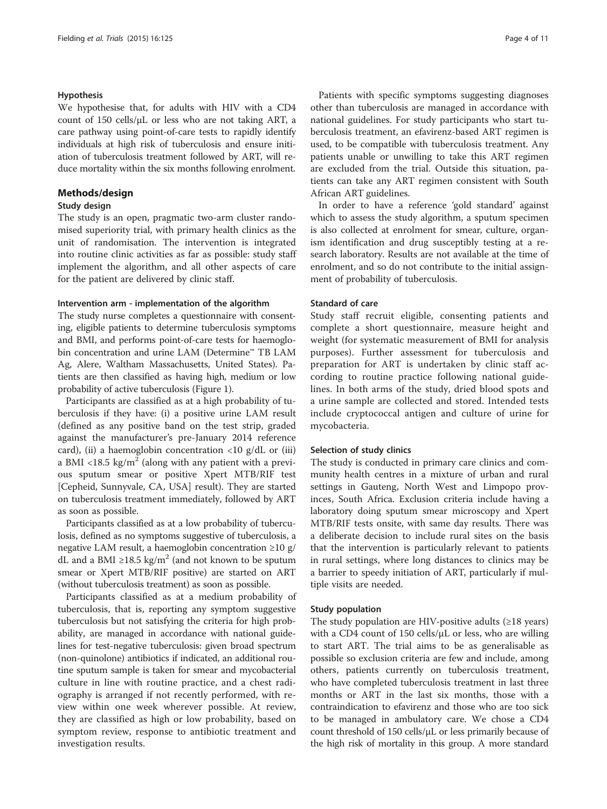# Hypothesis

We hypothesise that, for adults with HIV with a CD4 count of 150 cells/μL or less who are not taking ART, a care pathway using point-of-care tests to rapidly identify individuals at high risk of tuberculosis and ensure initiation of tuberculosis treatment followed by ART, will reduce mortality within the six months following enrolment.

# Methods/design

# Study design

The study is an open, pragmatic two-arm cluster randomised superiority trial, with primary health clinics as the unit of randomisation. The intervention is integrated into routine clinic activities as far as possible: study staff implement the algorithm, and all other aspects of care for the patient are delivered by clinic staff.

# Intervention arm - implementation of the algorithm

The study nurse completes a questionnaire with consenting, eligible patients to determine tuberculosis symptoms and BMI, and performs point-of-care tests for haemoglobin concentration and urine LAM (Determine™ TB LAM Ag, Alere, Waltham Massachusetts, United States). Patients are then classified as having high, medium or low probability of active tuberculosis (Figure [1](#page-2-0)).

Participants are classified as at a high probability of tuberculosis if they have: (i) a positive urine LAM result (defined as any positive band on the test strip, graded against the manufacturer's pre-January 2014 reference card), (ii) a haemoglobin concentration  $\langle 10 \text{ g}/dL \text{ or } (iii) \rangle$ a BMI <18.5 kg/m<sup>2</sup> (along with any patient with a previous sputum smear or positive Xpert MTB/RIF test [Cepheid, Sunnyvale, CA, USA] result). They are started on tuberculosis treatment immediately, followed by ART as soon as possible.

Participants classified as at a low probability of tuberculosis, defined as no symptoms suggestive of tuberculosis, a negative LAM result, a haemoglobin concentration ≥10 g/ dL and a BMI ≥18.5 kg/m<sup>2</sup> (and not known to be sputum smear or Xpert MTB/RIF positive) are started on ART (without tuberculosis treatment) as soon as possible.

Participants classified as at a medium probability of tuberculosis, that is, reporting any symptom suggestive tuberculosis but not satisfying the criteria for high probability, are managed in accordance with national guidelines for test-negative tuberculosis: given broad spectrum (non-quinolone) antibiotics if indicated, an additional routine sputum sample is taken for smear and mycobacterial culture in line with routine practice, and a chest radiography is arranged if not recently performed, with review within one week wherever possible. At review, they are classified as high or low probability, based on symptom review, response to antibiotic treatment and investigation results.

Patients with specific symptoms suggesting diagnoses other than tuberculosis are managed in accordance with national guidelines. For study participants who start tuberculosis treatment, an efavirenz-based ART regimen is used, to be compatible with tuberculosis treatment. Any patients unable or unwilling to take this ART regimen are excluded from the trial. Outside this situation, patients can take any ART regimen consistent with South African ART guidelines.

In order to have a reference 'gold standard' against which to assess the study algorithm, a sputum specimen is also collected at enrolment for smear, culture, organism identification and drug susceptibly testing at a research laboratory. Results are not available at the time of enrolment, and so do not contribute to the initial assignment of probability of tuberculosis.

# Standard of care

Study staff recruit eligible, consenting patients and complete a short questionnaire, measure height and weight (for systematic measurement of BMI for analysis purposes). Further assessment for tuberculosis and preparation for ART is undertaken by clinic staff according to routine practice following national guidelines. In both arms of the study, dried blood spots and a urine sample are collected and stored. Intended tests include cryptococcal antigen and culture of urine for mycobacteria.

### Selection of study clinics

The study is conducted in primary care clinics and community health centres in a mixture of urban and rural settings in Gauteng, North West and Limpopo provinces, South Africa. Exclusion criteria include having a laboratory doing sputum smear microscopy and Xpert MTB/RIF tests onsite, with same day results. There was a deliberate decision to include rural sites on the basis that the intervention is particularly relevant to patients in rural settings, where long distances to clinics may be a barrier to speedy initiation of ART, particularly if multiple visits are needed.

# Study population

The study population are HIV-positive adults (≥18 years) with a CD4 count of 150 cells/μL or less, who are willing to start ART. The trial aims to be as generalisable as possible so exclusion criteria are few and include, among others, patients currently on tuberculosis treatment, who have completed tuberculosis treatment in last three months or ART in the last six months, those with a contraindication to efavirenz and those who are too sick to be managed in ambulatory care. We chose a CD4 count threshold of 150 cells/ $\mu$ L or less primarily because of the high risk of mortality in this group. A more standard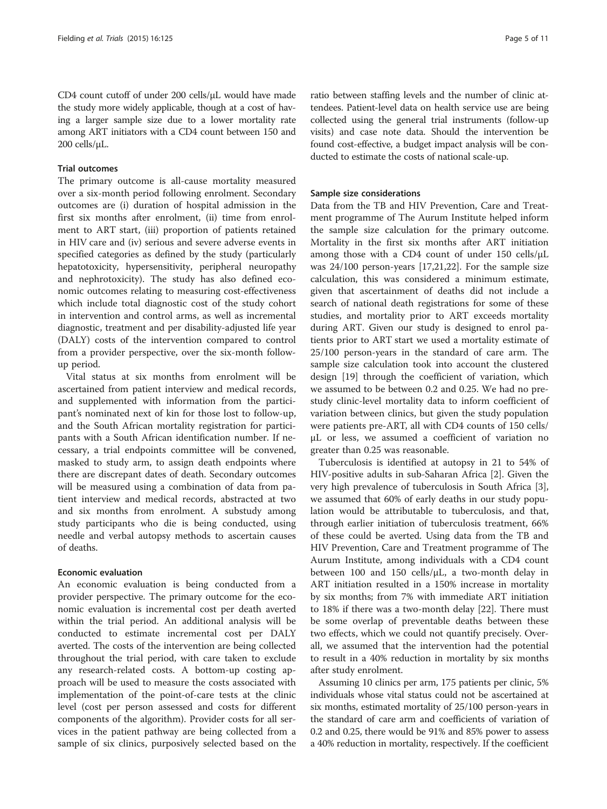CD4 count cutoff of under 200 cells/μL would have made the study more widely applicable, though at a cost of having a larger sample size due to a lower mortality rate among ART initiators with a CD4 count between 150 and  $200$  cells/ $\mu$ L.

# Trial outcomes

The primary outcome is all-cause mortality measured over a six-month period following enrolment. Secondary outcomes are (i) duration of hospital admission in the first six months after enrolment, (ii) time from enrolment to ART start, (iii) proportion of patients retained in HIV care and (iv) serious and severe adverse events in specified categories as defined by the study (particularly hepatotoxicity, hypersensitivity, peripheral neuropathy and nephrotoxicity). The study has also defined economic outcomes relating to measuring cost-effectiveness which include total diagnostic cost of the study cohort in intervention and control arms, as well as incremental diagnostic, treatment and per disability-adjusted life year (DALY) costs of the intervention compared to control from a provider perspective, over the six-month followup period.

Vital status at six months from enrolment will be ascertained from patient interview and medical records, and supplemented with information from the participant's nominated next of kin for those lost to follow-up, and the South African mortality registration for participants with a South African identification number. If necessary, a trial endpoints committee will be convened, masked to study arm, to assign death endpoints where there are discrepant dates of death. Secondary outcomes will be measured using a combination of data from patient interview and medical records, abstracted at two and six months from enrolment. A substudy among study participants who die is being conducted, using needle and verbal autopsy methods to ascertain causes of deaths.

# Economic evaluation

An economic evaluation is being conducted from a provider perspective. The primary outcome for the economic evaluation is incremental cost per death averted within the trial period. An additional analysis will be conducted to estimate incremental cost per DALY averted. The costs of the intervention are being collected throughout the trial period, with care taken to exclude any research-related costs. A bottom-up costing approach will be used to measure the costs associated with implementation of the point-of-care tests at the clinic level (cost per person assessed and costs for different components of the algorithm). Provider costs for all services in the patient pathway are being collected from a sample of six clinics, purposively selected based on the

ratio between staffing levels and the number of clinic attendees. Patient-level data on health service use are being collected using the general trial instruments (follow-up visits) and case note data. Should the intervention be found cost-effective, a budget impact analysis will be conducted to estimate the costs of national scale-up.

# Sample size considerations

Data from the TB and HIV Prevention, Care and Treatment programme of The Aurum Institute helped inform the sample size calculation for the primary outcome. Mortality in the first six months after ART initiation among those with a CD4 count of under 150 cells/μL was 24/100 person-years [\[17,21,22\]](#page-10-0). For the sample size calculation, this was considered a minimum estimate, given that ascertainment of deaths did not include a search of national death registrations for some of these studies, and mortality prior to ART exceeds mortality during ART. Given our study is designed to enrol patients prior to ART start we used a mortality estimate of 25/100 person-years in the standard of care arm. The sample size calculation took into account the clustered design [[19\]](#page-10-0) through the coefficient of variation, which we assumed to be between 0.2 and 0.25. We had no prestudy clinic-level mortality data to inform coefficient of variation between clinics, but given the study population were patients pre-ART, all with CD4 counts of 150 cells/ μL or less, we assumed a coefficient of variation no greater than 0.25 was reasonable.

Tuberculosis is identified at autopsy in 21 to 54% of HIV-positive adults in sub-Saharan Africa [[2](#page-10-0)]. Given the very high prevalence of tuberculosis in South Africa [\[3](#page-10-0)], we assumed that 60% of early deaths in our study population would be attributable to tuberculosis, and that, through earlier initiation of tuberculosis treatment, 66% of these could be averted. Using data from the TB and HIV Prevention, Care and Treatment programme of The Aurum Institute, among individuals with a CD4 count between 100 and 150 cells/ $\mu$ L, a two-month delay in ART initiation resulted in a 150% increase in mortality by six months; from 7% with immediate ART initiation to 18% if there was a two-month delay [\[22\]](#page-10-0). There must be some overlap of preventable deaths between these two effects, which we could not quantify precisely. Overall, we assumed that the intervention had the potential to result in a 40% reduction in mortality by six months after study enrolment.

Assuming 10 clinics per arm, 175 patients per clinic, 5% individuals whose vital status could not be ascertained at six months, estimated mortality of 25/100 person-years in the standard of care arm and coefficients of variation of 0.2 and 0.25, there would be 91% and 85% power to assess a 40% reduction in mortality, respectively. If the coefficient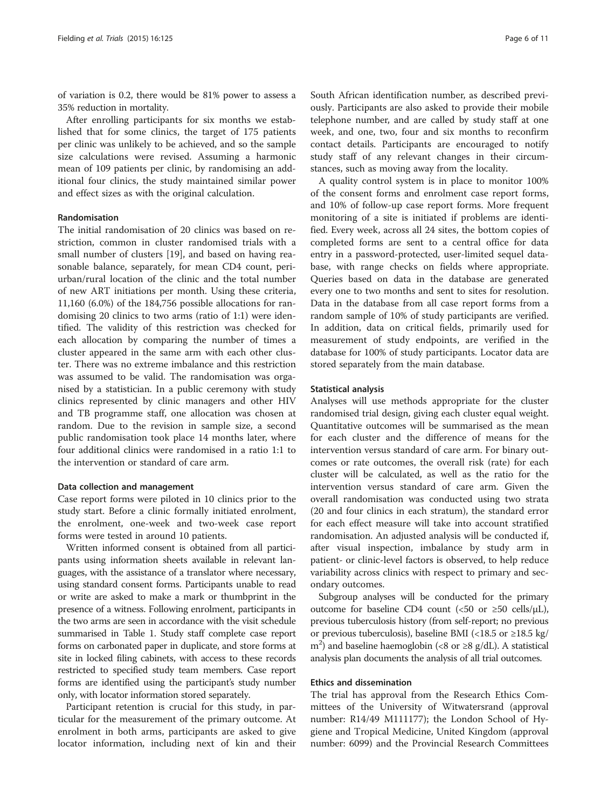of variation is 0.2, there would be 81% power to assess a 35% reduction in mortality.

After enrolling participants for six months we established that for some clinics, the target of 175 patients per clinic was unlikely to be achieved, and so the sample size calculations were revised. Assuming a harmonic mean of 109 patients per clinic, by randomising an additional four clinics, the study maintained similar power and effect sizes as with the original calculation.

# Randomisation

The initial randomisation of 20 clinics was based on restriction, common in cluster randomised trials with a small number of clusters [[19](#page-10-0)], and based on having reasonable balance, separately, for mean CD4 count, periurban/rural location of the clinic and the total number of new ART initiations per month. Using these criteria, 11,160 (6.0%) of the 184,756 possible allocations for randomising 20 clinics to two arms (ratio of 1:1) were identified. The validity of this restriction was checked for each allocation by comparing the number of times a cluster appeared in the same arm with each other cluster. There was no extreme imbalance and this restriction was assumed to be valid. The randomisation was organised by a statistician. In a public ceremony with study clinics represented by clinic managers and other HIV and TB programme staff, one allocation was chosen at random. Due to the revision in sample size, a second public randomisation took place 14 months later, where four additional clinics were randomised in a ratio 1:1 to the intervention or standard of care arm.

# Data collection and management

Case report forms were piloted in 10 clinics prior to the study start. Before a clinic formally initiated enrolment, the enrolment, one-week and two-week case report forms were tested in around 10 patients.

Written informed consent is obtained from all participants using information sheets available in relevant languages, with the assistance of a translator where necessary, using standard consent forms. Participants unable to read or write are asked to make a mark or thumbprint in the presence of a witness. Following enrolment, participants in the two arms are seen in accordance with the visit schedule summarised in Table [1](#page-6-0). Study staff complete case report forms on carbonated paper in duplicate, and store forms at site in locked filing cabinets, with access to these records restricted to specified study team members. Case report forms are identified using the participant's study number only, with locator information stored separately.

Participant retention is crucial for this study, in particular for the measurement of the primary outcome. At enrolment in both arms, participants are asked to give locator information, including next of kin and their

South African identification number, as described previously. Participants are also asked to provide their mobile telephone number, and are called by study staff at one week, and one, two, four and six months to reconfirm contact details. Participants are encouraged to notify study staff of any relevant changes in their circumstances, such as moving away from the locality.

A quality control system is in place to monitor 100% of the consent forms and enrolment case report forms, and 10% of follow-up case report forms. More frequent monitoring of a site is initiated if problems are identified. Every week, across all 24 sites, the bottom copies of completed forms are sent to a central office for data entry in a password-protected, user-limited sequel database, with range checks on fields where appropriate. Queries based on data in the database are generated every one to two months and sent to sites for resolution. Data in the database from all case report forms from a random sample of 10% of study participants are verified. In addition, data on critical fields, primarily used for measurement of study endpoints, are verified in the database for 100% of study participants. Locator data are stored separately from the main database.

#### Statistical analysis

Analyses will use methods appropriate for the cluster randomised trial design, giving each cluster equal weight. Quantitative outcomes will be summarised as the mean for each cluster and the difference of means for the intervention versus standard of care arm. For binary outcomes or rate outcomes, the overall risk (rate) for each cluster will be calculated, as well as the ratio for the intervention versus standard of care arm. Given the overall randomisation was conducted using two strata (20 and four clinics in each stratum), the standard error for each effect measure will take into account stratified randomisation. An adjusted analysis will be conducted if, after visual inspection, imbalance by study arm in patient- or clinic-level factors is observed, to help reduce variability across clinics with respect to primary and secondary outcomes.

Subgroup analyses will be conducted for the primary outcome for baseline CD4 count (<50 or ≥50 cells/μL), previous tuberculosis history (from self-report; no previous or previous tuberculosis), baseline BMI (<18.5 or  $\geq$ 18.5 kg/ m2 ) and baseline haemoglobin (<8 or ≥8 g/dL). A statistical analysis plan documents the analysis of all trial outcomes.

# Ethics and dissemination

The trial has approval from the Research Ethics Committees of the University of Witwatersrand (approval number: R14/49 M111177); the London School of Hygiene and Tropical Medicine, United Kingdom (approval number: 6099) and the Provincial Research Committees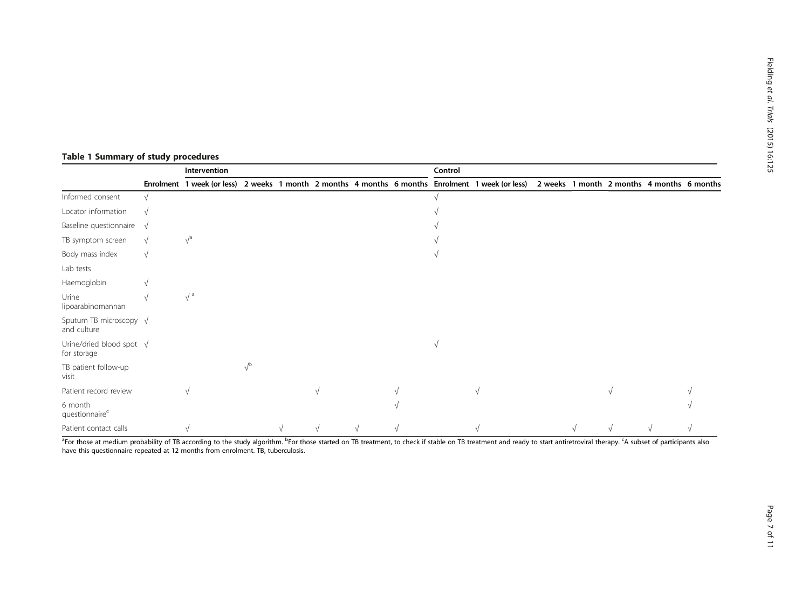|                                                 |            | Intervention |            |            |  |            | Control |            |                                                                                                                                             |  |            |            |  |  |
|-------------------------------------------------|------------|--------------|------------|------------|--|------------|---------|------------|---------------------------------------------------------------------------------------------------------------------------------------------|--|------------|------------|--|--|
|                                                 |            |              |            |            |  |            |         |            | Enrolment 1 week (or less) 2 weeks 1 month 2 months 4 months 6 months Enrolment 1 week (or less) 2 weeks 1 month 2 months 4 months 6 months |  |            |            |  |  |
| Informed consent                                |            |              |            |            |  |            |         |            |                                                                                                                                             |  |            |            |  |  |
| Locator information                             | $\sqrt{ }$ |              |            |            |  |            |         |            |                                                                                                                                             |  |            |            |  |  |
| Baseline questionnaire                          | $\sqrt{ }$ |              |            |            |  |            |         |            |                                                                                                                                             |  |            |            |  |  |
| TB symptom screen                               | $\sqrt{ }$ | $\sqrt{a}$   |            |            |  |            |         |            |                                                                                                                                             |  |            |            |  |  |
| Body mass index                                 | $\sqrt{ }$ |              |            |            |  |            |         |            |                                                                                                                                             |  |            |            |  |  |
| Lab tests                                       |            |              |            |            |  |            |         |            |                                                                                                                                             |  |            |            |  |  |
| Haemoglobin                                     |            |              |            |            |  |            |         |            |                                                                                                                                             |  |            |            |  |  |
| Urine<br>lipoarabinomannan                      |            | $\sqrt{a}$   |            |            |  |            |         |            |                                                                                                                                             |  |            |            |  |  |
| Sputum TB microscopy $\sqrt{}$<br>and culture   |            |              |            |            |  |            |         |            |                                                                                                                                             |  |            |            |  |  |
| Urine/dried blood spot $\sqrt{}$<br>for storage |            |              |            |            |  |            |         | $\sqrt{ }$ |                                                                                                                                             |  |            |            |  |  |
| TB patient follow-up<br>visit                   |            |              | $\sqrt{p}$ |            |  |            |         |            |                                                                                                                                             |  |            |            |  |  |
| Patient record review                           |            |              |            |            |  |            |         |            |                                                                                                                                             |  |            |            |  |  |
| 6 month<br>questionnaire <sup>c</sup>           |            |              |            |            |  |            |         |            |                                                                                                                                             |  |            |            |  |  |
| Patient contact calls                           |            |              |            | $\sqrt{ }$ |  | $\sqrt{ }$ |         |            |                                                                                                                                             |  | $\sqrt{ }$ | $\sqrt{ }$ |  |  |

# <span id="page-6-0"></span>Table 1 Summary of study procedures

<sup>a</sup> For those at medium probability of TB according to the study algorithm. <sup>b</sup> For those started on TB treatment, to check if stable on TB treatment and ready to start antiretroviral therapy. <sup>c</sup>A subset of participants a have this questionnaire repeated at 12 months from enrolment. TB, tuberculosis.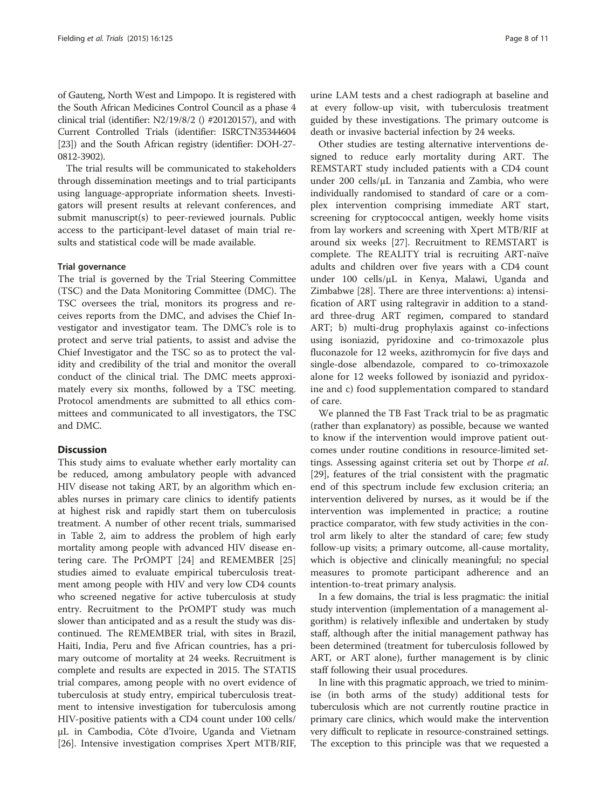of Gauteng, North West and Limpopo. It is registered with the South African Medicines Control Council as a phase 4 clinical trial (identifier: N2/19/8/2 () #20120157), and with Current Controlled Trials (identifier: [ISRCTN35344604](http://www.controlled-trials.com/ISRCTN35344604) [[23](#page-10-0)]) and the South African registry (identifier: DOH-27- 0812-3902).

The trial results will be communicated to stakeholders through dissemination meetings and to trial participants using language-appropriate information sheets. Investigators will present results at relevant conferences, and submit manuscript(s) to peer-reviewed journals. Public access to the participant-level dataset of main trial results and statistical code will be made available.

# Trial governance

The trial is governed by the Trial Steering Committee (TSC) and the Data Monitoring Committee (DMC). The TSC oversees the trial, monitors its progress and receives reports from the DMC, and advises the Chief Investigator and investigator team. The DMC's role is to protect and serve trial patients, to assist and advise the Chief Investigator and the TSC so as to protect the validity and credibility of the trial and monitor the overall conduct of the clinical trial. The DMC meets approximately every six months, followed by a TSC meeting. Protocol amendments are submitted to all ethics committees and communicated to all investigators, the TSC and DMC.

# **Discussion**

This study aims to evaluate whether early mortality can be reduced, among ambulatory people with advanced HIV disease not taking ART, by an algorithm which enables nurses in primary care clinics to identify patients at highest risk and rapidly start them on tuberculosis treatment. A number of other recent trials, summarised in Table [2,](#page-8-0) aim to address the problem of high early mortality among people with advanced HIV disease entering care. The PrOMPT [[24\]](#page-10-0) and REMEMBER [[25](#page-10-0)] studies aimed to evaluate empirical tuberculosis treatment among people with HIV and very low CD4 counts who screened negative for active tuberculosis at study entry. Recruitment to the PrOMPT study was much slower than anticipated and as a result the study was discontinued. The REMEMBER trial, with sites in Brazil, Haiti, India, Peru and five African countries, has a primary outcome of mortality at 24 weeks. Recruitment is complete and results are expected in 2015. The STATIS trial compares, among people with no overt evidence of tuberculosis at study entry, empirical tuberculosis treatment to intensive investigation for tuberculosis among HIV-positive patients with a CD4 count under 100 cells/ μL in Cambodia, Côte d'Ivoire, Uganda and Vietnam [[26\]](#page-10-0). Intensive investigation comprises Xpert MTB/RIF,

urine LAM tests and a chest radiograph at baseline and at every follow-up visit, with tuberculosis treatment guided by these investigations. The primary outcome is death or invasive bacterial infection by 24 weeks.

Other studies are testing alternative interventions designed to reduce early mortality during ART. The REMSTART study included patients with a CD4 count under 200 cells/μL in Tanzania and Zambia, who were individually randomised to standard of care or a complex intervention comprising immediate ART start, screening for cryptococcal antigen, weekly home visits from lay workers and screening with Xpert MTB/RIF at around six weeks [\[27](#page-10-0)]. Recruitment to REMSTART is complete. The REALITY trial is recruiting ART-naïve adults and children over five years with a CD4 count under 100 cells/μL in Kenya, Malawi, Uganda and Zimbabwe [[28](#page-10-0)]. There are three interventions: a) intensification of ART using raltegravir in addition to a standard three-drug ART regimen, compared to standard ART; b) multi-drug prophylaxis against co-infections using isoniazid, pyridoxine and co-trimoxazole plus fluconazole for 12 weeks, azithromycin for five days and single-dose albendazole, compared to co-trimoxazole alone for 12 weeks followed by isoniazid and pyridoxine and c) food supplementation compared to standard of care.

We planned the TB Fast Track trial to be as pragmatic (rather than explanatory) as possible, because we wanted to know if the intervention would improve patient outcomes under routine conditions in resource-limited settings. Assessing against criteria set out by Thorpe et al. [[29\]](#page-10-0), features of the trial consistent with the pragmatic end of this spectrum include few exclusion criteria; an intervention delivered by nurses, as it would be if the intervention was implemented in practice; a routine practice comparator, with few study activities in the control arm likely to alter the standard of care; few study follow-up visits; a primary outcome, all-cause mortality, which is objective and clinically meaningful; no special measures to promote participant adherence and an intention-to-treat primary analysis.

In a few domains, the trial is less pragmatic: the initial study intervention (implementation of a management algorithm) is relatively inflexible and undertaken by study staff, although after the initial management pathway has been determined (treatment for tuberculosis followed by ART, or ART alone), further management is by clinic staff following their usual procedures.

In line with this pragmatic approach, we tried to minimise (in both arms of the study) additional tests for tuberculosis which are not currently routine practice in primary care clinics, which would make the intervention very difficult to replicate in resource-constrained settings. The exception to this principle was that we requested a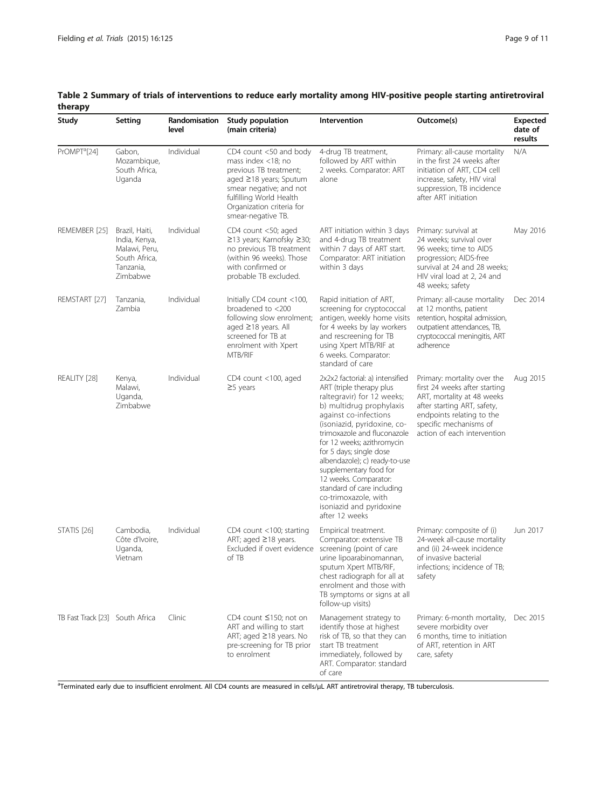| Study                           | Setting                                                                                                                               | Randomisation<br>level | <b>Study population</b><br>(main criteria)                                                                                                                                                                   | Intervention                                                                                                                                                                                                                                                                                                                                                                                                                                                  | Outcome(s)                                                                                                                                                                                                      | Expected<br>date of<br>results |  |
|---------------------------------|---------------------------------------------------------------------------------------------------------------------------------------|------------------------|--------------------------------------------------------------------------------------------------------------------------------------------------------------------------------------------------------------|---------------------------------------------------------------------------------------------------------------------------------------------------------------------------------------------------------------------------------------------------------------------------------------------------------------------------------------------------------------------------------------------------------------------------------------------------------------|-----------------------------------------------------------------------------------------------------------------------------------------------------------------------------------------------------------------|--------------------------------|--|
| PrOMPT <sup>a</sup> [24]        | Individual<br>Gabon,<br>Mozambique,<br>South Africa,<br>Uganda                                                                        |                        | CD4 count <50 and body<br>mass index $<$ 18; no<br>previous TB treatment;<br>aged ≥18 years; Sputum<br>smear negative; and not<br>fulfilling World Health<br>Organization criteria for<br>smear-negative TB. | 4-drug TB treatment,<br>followed by ART within<br>2 weeks. Comparator: ART<br>alone                                                                                                                                                                                                                                                                                                                                                                           | Primary: all-cause mortality<br>in the first 24 weeks after<br>initiation of ART, CD4 cell<br>increase, safety, HIV viral<br>suppression, TB incidence<br>after ART initiation                                  | N/A                            |  |
| REMEMBER [25]                   | Brazil, Haiti,<br>India, Kenya,<br>Malawi, Peru,<br>South Africa,<br>Tanzania,<br>Zimbabwe                                            | Individual             | CD4 count <50; aged<br>$≥13$ years; Karnofsky $≥30$ ;<br>no previous TB treatment<br>(within 96 weeks). Those<br>with confirmed or<br>probable TB excluded.                                                  | ART initiation within 3 days<br>and 4-drug TB treatment<br>within 7 days of ART start.<br>Comparator: ART initiation<br>within 3 days                                                                                                                                                                                                                                                                                                                         | Primary: survival at<br>24 weeks; survival over<br>96 weeks; time to AIDS<br>progression; AIDS-free<br>survival at 24 and 28 weeks;<br>HIV viral load at 2, 24 and<br>48 weeks; safety                          | May 2016                       |  |
| REMSTART [27]                   | Tanzania,<br>Zambia                                                                                                                   | Individual             | Initially CD4 count <100,<br>broadened to $<$ 200<br>following slow enrolment;<br>aged ≥18 years. All<br>screened for TB at<br>enrolment with Xpert<br>MTB/RIF                                               | Rapid initiation of ART,<br>screening for cryptococcal<br>antigen, weekly home visits<br>for 4 weeks by lay workers<br>and rescreening for TB<br>using Xpert MTB/RIF at<br>6 weeks. Comparator:<br>standard of care                                                                                                                                                                                                                                           | Primary: all-cause mortality<br>at 12 months, patient<br>retention, hospital admission,<br>outpatient attendances, TB,<br>cryptococcal meningitis, ART<br>adherence                                             | Dec 2014                       |  |
| REALITY [28]                    | Kenya,<br>Malawi,<br>Uganda,<br>Zimbabwe                                                                                              | Individual             | CD4 count <100, aged<br>$\geq$ 5 years                                                                                                                                                                       | 2x2x2 factorial: a) intensified<br>ART (triple therapy plus<br>raltegravir) for 12 weeks;<br>b) multidrug prophylaxis<br>against co-infections<br>(isoniazid, pyridoxine, co-<br>trimoxazole and fluconazole<br>for 12 weeks; azithromycin<br>for 5 days; single dose<br>albendazole); c) ready-to-use<br>supplementary food for<br>12 weeks. Comparator:<br>standard of care including<br>co-trimoxazole, with<br>isoniazid and pyridoxine<br>after 12 weeks | Primary: mortality over the<br>first 24 weeks after starting<br>ART, mortality at 48 weeks<br>after starting ART, safety,<br>endpoints relating to the<br>specific mechanisms of<br>action of each intervention | Aug 2015                       |  |
| <b>STATIS</b> [26]              | Cambodia,<br>Côte d'Ivoire,<br>Uganda,<br>Vietnam                                                                                     | Individual             | CD4 count <100; starting<br>ART; aged $\geq$ 18 years.<br>Excluded if overt evidence<br>of TB                                                                                                                | Empirical treatment.<br>Comparator: extensive TB<br>screening (point of care<br>urine lipoarabinomannan,<br>sputum Xpert MTB/RIF,<br>chest radiograph for all at<br>enrolment and those with<br>TB symptoms or signs at all<br>follow-up visits)                                                                                                                                                                                                              | Primary: composite of (i)<br>24-week all-cause mortality<br>and (ii) 24-week incidence<br>of invasive bacterial<br>infections; incidence of TB;<br>safety                                                       | Jun 2017                       |  |
| TB Fast Track [23] South Africa | Clinic<br>CD4 count ≤150; not on<br>ART and willing to start<br>ART; aged ≥18 years. No<br>pre-screening for TB prior<br>to enrolment |                        | Management strategy to<br>identify those at highest<br>risk of TB, so that they can<br>start TB treatment<br>immediately, followed by<br>ART. Comparator: standard<br>of care                                | Primary: 6-month mortality,<br>severe morbidity over<br>6 months, time to initiation<br>of ART, retention in ART<br>care, safety                                                                                                                                                                                                                                                                                                                              | Dec 2015                                                                                                                                                                                                        |                                |  |

# <span id="page-8-0"></span>Table 2 Summary of trials of interventions to reduce early mortality among HIV-positive people starting antiretroviral therapy

aTerminated early due to insufficient enrolment. All CD4 counts are measured in cells/μL ART antiretroviral therapy, TB tuberculosis.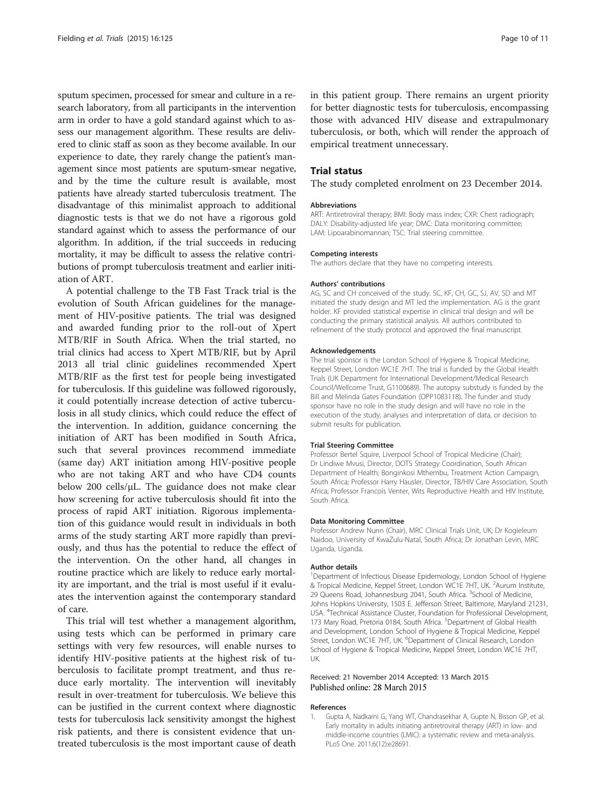<span id="page-9-0"></span>sputum specimen, processed for smear and culture in a research laboratory, from all participants in the intervention arm in order to have a gold standard against which to assess our management algorithm. These results are delivered to clinic staff as soon as they become available. In our experience to date, they rarely change the patient's management since most patients are sputum-smear negative, and by the time the culture result is available, most patients have already started tuberculosis treatment. The disadvantage of this minimalist approach to additional diagnostic tests is that we do not have a rigorous gold standard against which to assess the performance of our algorithm. In addition, if the trial succeeds in reducing mortality, it may be difficult to assess the relative contributions of prompt tuberculosis treatment and earlier initiation of ART.

A potential challenge to the TB Fast Track trial is the evolution of South African guidelines for the management of HIV-positive patients. The trial was designed and awarded funding prior to the roll-out of Xpert MTB/RIF in South Africa. When the trial started, no trial clinics had access to Xpert MTB/RIF, but by April 2013 all trial clinic guidelines recommended Xpert MTB/RIF as the first test for people being investigated for tuberculosis. If this guideline was followed rigorously, it could potentially increase detection of active tuberculosis in all study clinics, which could reduce the effect of the intervention. In addition, guidance concerning the initiation of ART has been modified in South Africa, such that several provinces recommend immediate (same day) ART initiation among HIV-positive people who are not taking ART and who have CD4 counts below 200 cells/μL. The guidance does not make clear how screening for active tuberculosis should fit into the process of rapid ART initiation. Rigorous implementation of this guidance would result in individuals in both arms of the study starting ART more rapidly than previously, and thus has the potential to reduce the effect of the intervention. On the other hand, all changes in routine practice which are likely to reduce early mortality are important, and the trial is most useful if it evaluates the intervention against the contemporary standard of care.

This trial will test whether a management algorithm, using tests which can be performed in primary care settings with very few resources, will enable nurses to identify HIV-positive patients at the highest risk of tuberculosis to facilitate prompt treatment, and thus reduce early mortality. The intervention will inevitably result in over-treatment for tuberculosis. We believe this can be justified in the current context where diagnostic tests for tuberculosis lack sensitivity amongst the highest risk patients, and there is consistent evidence that untreated tuberculosis is the most important cause of death in this patient group. There remains an urgent priority for better diagnostic tests for tuberculosis, encompassing those with advanced HIV disease and extrapulmonary tuberculosis, or both, which will render the approach of empirical treatment unnecessary.

# Trial status

The study completed enrolment on 23 December 2014.

#### Abbreviations

ART: Antiretroviral therapy; BMI: Body mass index; CXR: Chest radiograph; DALY: Disability-adjusted life year; DMC: Data monitoring committee; LAM: Lipoarabinomannan; TSC: Trial steering committee.

#### Competing interests

The authors declare that they have no competing interests.

#### Authors' contributions

AG, SC and CH conceived of the study. SC, KF, CH, GC, SJ, AV, SD and MT initiated the study design and MT led the implementation. AG is the grant holder. KF provided statistical expertise in clinical trial design and will be conducting the primary statistical analysis. All authors contributed to refinement of the study protocol and approved the final manuscript.

#### Acknowledgements

The trial sponsor is the London School of Hygiene & Tropical Medicine, Keppel Street, London WC1E 7HT. The trial is funded by the Global Health Trials (UK Department for International Development/Medical Research Council/Wellcome Trust, G1100689). The autopsy substudy is funded by the Bill and Melinda Gates Foundation (OPP1083118). The funder and study sponsor have no role in the study design and will have no role in the execution of the study, analyses and interpretation of data, or decision to submit results for publication.

#### Trial Steering Committee

Professor Bertel Squire, Liverpool School of Tropical Medicine (Chair); Dr Lindiwe Mvusi, Director, DOTS Strategy Coordination, South African Department of Health; Bonginkosi Mthembu, Treatment Action Campaign, South Africa; Professor Harry Hausler, Director, TB/HIV Care Association, South Africa; Professor Francois Venter, Wits Reproductive Health and HIV Institute, South Africa.

#### Data Monitoring Committee

Professor Andrew Nunn (Chair), MRC Clinical Trials Unit, UK; Dr Kogieleum Naidoo, University of KwaZulu-Natal, South Africa; Dr Jonathan Levin, MRC Uganda, Uganda.

#### Author details

<sup>1</sup>Department of Infectious Disease Epidemiology, London School of Hygiene & Tropical Medicine, Keppel Street, London WC1E 7HT, UK. <sup>2</sup>Aurum Institute 29 Queens Road, Johannesburg 2041, South Africa. <sup>3</sup>School of Medicine Johns Hopkins University, 1503 E. Jefferson Street, Baltimore, Maryland 21231, USA. <sup>4</sup> Technical Assistance Cluster, Foundation for Professional Development, 173 Mary Road, Pretoria 0184, South Africa. <sup>5</sup>Department of Global Health and Development, London School of Hygiene & Tropical Medicine, Keppel Street, London WC1E 7HT, UK. <sup>6</sup>Department of Clinical Research, London School of Hygiene & Tropical Medicine, Keppel Street, London WC1E 7HT, UK.

#### Received: 21 November 2014 Accepted: 13 March 2015 Published online: 28 March 2015

#### References

1. Gupta A, Nadkarni G, Yang WT, Chandrasekhar A, Gupte N, Bisson GP, et al. Early mortality in adults initiating antiretroviral therapy (ART) in low- and middle-income countries (LMIC): a systematic review and meta-analysis. PLoS One. 2011;6(12):e28691.